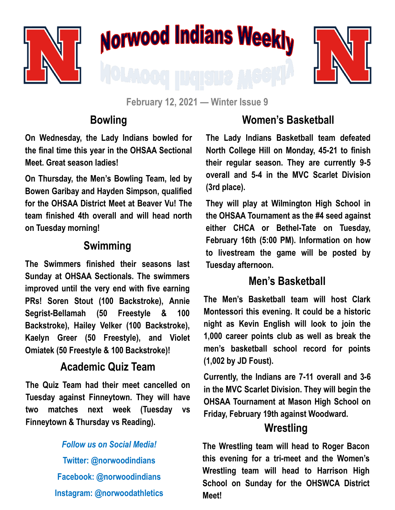

# Norwood Indians Weekly



**February 12, 2021 — Winter Issue 9**

#### **Bowling**

**On Wednesday, the Lady Indians bowled for the final time this year in the OHSAA Sectional Meet. Great season ladies!**

**On Thursday, the Men's Bowling Team, led by Bowen Garibay and Hayden Simpson, qualified for the OHSAA District Meet at Beaver Vu! The team finished 4th overall and will head north on Tuesday morning!**

## **Swimming**

**The Swimmers finished their seasons last Sunday at OHSAA Sectionals. The swimmers improved until the very end with five earning PRs! Soren Stout (100 Backstroke), Annie Segrist-Bellamah (50 Freestyle & 100 Backstroke), Hailey Velker (100 Backstroke), Kaelyn Greer (50 Freestyle), and Violet Omiatek (50 Freestyle & 100 Backstroke)!**

#### **Academic Quiz Team**

**The Quiz Team had their meet cancelled on Tuesday against Finneytown. They will have two matches next week (Tuesday vs Finneytown & Thursday vs Reading).**

# *Follow us on Social Media!* **Twitter: @norwoodindians Facebook: @norwoodindians Instagram: @norwoodathletics**

## **Women's Basketball**

**The Lady Indians Basketball team defeated North College Hill on Monday, 45-21 to finish their regular season. They are currently 9-5 overall and 5-4 in the MVC Scarlet Division (3rd place).** 

**They will play at Wilmington High School in the OHSAA Tournament as the #4 seed against either CHCA or Bethel-Tate on Tuesday, February 16th (5:00 PM). Information on how to livestream the game will be posted by Tuesday afternoon.**

#### **Men's Basketball**

**The Men's Basketball team will host Clark Montessori this evening. It could be a historic night as Kevin English will look to join the 1,000 career points club as well as break the men's basketball school record for points (1,002 by JD Foust).** 

**Currently, the Indians are 7-11 overall and 3-6 in the MVC Scarlet Division. They will begin the OHSAA Tournament at Mason High School on Friday, February 19th against Woodward.** 

#### **Wrestling**

**The Wrestling team will head to Roger Bacon this evening for a tri-meet and the Women's Wrestling team will head to Harrison High School on Sunday for the OHSWCA District Meet!**